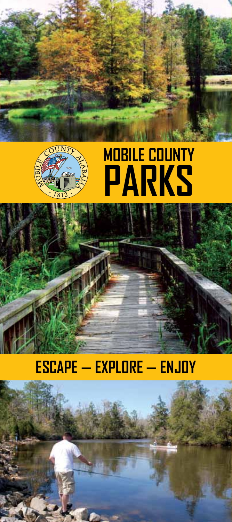



## **Escape — Explore — Enjoy**

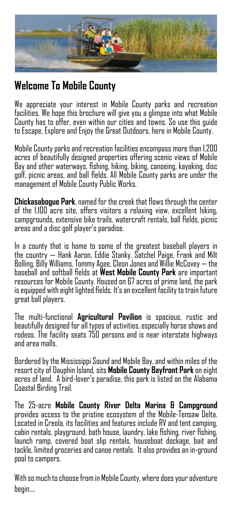

## **Welcome To Mobile County**

We appreciate your interest in Mobile County parks and recreation facilities. We hope this brochure will give you a glimpse into what Mobile County has to offer, even within our cities and towns. So use this guide to Escape, Explore and Enjoy the Great Outdoors, here in Mobile County.

Mobile County parks and recreation facilities encompass more than 1,200 acres of beautifully designed properties offering scenic views of Mobile Bay and other waterways, fishing, hiking, biking, canoeing, kayaking, disc golf, picnic areas, and ball fields. All Mobile County parks are under the management of Mobile County Public Works.

**Chickasabogue Park**, named for the creek that flows through the center of the 1,100 acre site, offers visitors a relaxing view, excellent hiking, campgrounds, extensive bike trails, watercraft rentals, ball fields, picnic areas and a disc golf player's paradise.

In a county that is home to some of the greatest baseball players in the country — Hank Aaron, Eddie Stanky, Satchel Paige, Frank and Milt Bolling, Billy Williams, Tommy Agee, Cleon Jones and Willie McCovey — the baseball and softball fields at **West Mobile County Park** are important resources for Mobile County. Housed on 67 acres of prime land, the park is equipped with eight lighted fields. It's an excellent facility to train future great ball players.

The multi-functional **Agricultural Pavilion** is spacious, rustic and beautifully designed for all types of activities, especially horse shows and rodeos. The facility seats 750 persons and is near interstate highways and area malls.

Bordered by the Mississippi Sound and Mobile Bay, and within miles of the resort city of Dauphin Island, sits **Mobile County Bayfront Park** on eight acres of land. A bird-lover's paradise, this park is listed on the Alabama Coastal Birding Trail.

The 25-acre **Mobile County River Delta Marina & Campground**  provides access to the pristine ecosystem of the Mobile-Tensaw Delta. Located in Creola, its facilities and features include RV and tent camping, cabin rentals, playground, bath house, laundry, lake fishing, river fishing, launch ramp, covered boat slip rentals, houseboat dockage, bait and tackle, limited groceries and canoe rentals. It also provides an in-ground pool to campers.

With so much to choose from in Mobile County, where does your adventure begin….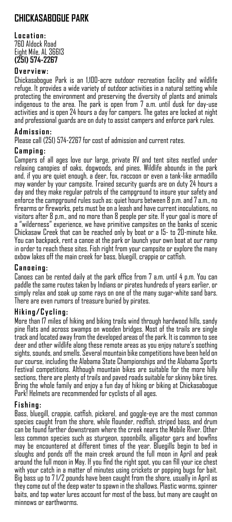## **CHICKASABOGUE PARK**

#### **L ocation:** 760 Aldock Road Eight Mile, AL 36613 **(251) 574-2267**

#### **Overview:**

Chickasabogue Park is an 1,100-acre outdoor recreation facility and wildlife refuge. It provides a wide variety of outdoor activities in a natural setting while protecting the environment and preserving the diversity of plants and animals indigenous to the area. The park is open from 7 a.m. until dusk for day-use activities and is open 24 hours a day for campers. The gates are locked at night and professional guards are on duty to assist campers and enforce park rules.

#### **Admission:**

Please call (251) 574-2267 for cost of admission and current rates.

#### **Camping:**

Campers of all ages love our large, private RV and tent sites nestled under relaxing canopies of oaks, dogwoods, and pines. Wildlife abounds in the park and, if you are quiet enough, a deer, fox, raccoon or even a tank-like armadillo may wander by your campsite. Trained security guards are on duty 24 hours a day and they make regular patrols of the campground to insure your safety and enforce the campground rules such as: quiet hours between 8 p.m. and 7 a.m., no firearms or fireworks, pets must be on a leash and have current inoculations, no visitors after 8 p.m., and no more than 8 people per site. If your goal is more of a "wilderness" experience, we have primitive campsites on the banks of scenic Chickasaw Creek that can be reached only by boat or a 15- to 20-minute hike. You can backpack, rent a canoe at the park or launch your own boat at our ramp in order to reach these sites. Fish right from your campsite or explore the many oxbow lakes off the main creek for bass, bluegill, crappie or catfish.

#### **Canoeing:**

Canoes can be rented daily at the park office from 7 a.m. until 4 p.m. You can paddle the same routes taken by Indians or pirates hundreds of years earlier, or simply relax and soak up some rays on one of the many sugar-white sand bars. There are even rumors of treasure buried by pirates.

#### **Hiking/Cycling:**

More than 17 miles of hiking and biking trails wind through hardwood hills, sandy pine flats and across swamps on wooden bridges. Most of the trails are single track and located away from the developed areas of the park. It is common to see deer and other wildlife along these remote areas as you enjoy nature's soothing sights, sounds, and smells. Several mountain bike competitions have been held on our course, including the Alabama State Championships and the Alabama Sports Festival competitions. Although mountain bikes are suitable for the more hilly sections, there are plenty of trails and paved roads suitable for skinny bike tires. Bring the whole family and enjoy a fun day of hiking or biking at Chickasabogue Park! Helmets are recommended for cyclists of all ages.

#### **Fishing:**

Bass, bluegill, crappie, catfish, pickerel, and goggle-eye are the most common species caught from the shore, while flounder, redfish, striped bass, and drum can be found farther downstream where the creek nears the Mobile River. Other less common species such as sturgeon, spoonbills, alligator gars and bowfins may be encountered at different times of the year. Bluegills begin to bed in sloughs and ponds off the main creek around the full moon in April and peak around the full moon in May. If you find the right spot, you can fill your ice chest with your catch in a matter of minutes using crickets or popping bugs for bait. Big bass up to 7 1/2 pounds have been caught from the shore, usually in April as they come out of the deep water to spawn in the shallows. Plastic worms, spinner baits, and top water lures account for most of the bass, but many are caught on minnows or earthworms.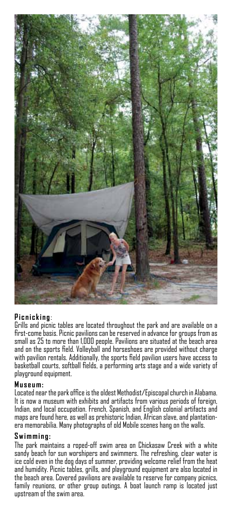

#### **Picnicking** :

Grills and picnic tables are located throughout the park and are available on a first-come basis. Picnic pavilions can be reserved in advance for groups from as small as 25 to more than 1,000 people. Pavilions are situated at the beach area and on the sports field. Volleyball and horseshoes are provided without charge with pavilion rentals. Additionally, the sports field pavilion users have access to basketball courts, softball fields, a performing arts stage and a wide variety of playground equipment.

#### **Museum:**

Located near the park office is the oldest Methodist/Episcopal church in Alabama. It is now a museum with exhibits and artifacts from various periods of foreign, Indian, and local occupation. French, Spanish, and English colonial artifacts and maps are found here, as well as prehistoric Indian, African slave, and plantationera memorabilia. Many photographs of old Mobile scenes hang on the walls.

#### **Swimming:**

The park maintains a roped-off swim area on Chickasaw Creek with a white sandy beach for sun worshipers and swimmers. The refreshing, clear water is ice cold even in the dog days of summer, providing welcome relief from the heat and humidity. Picnic tables, grills, and playground equipment are also located in the beach area. Covered pavilions are available to reserve for company picnics, family reunions, or other group outings. A boat launch ramp is located just upstream of the swim area.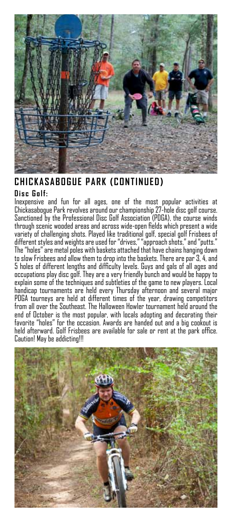

### **CHICKASABOGUE PARK (CONTINUED)**

#### **Disc Golf:**

Inexpensive and fun for all ages, one of the most popular activities at Chickasabogue Park revolves around our championship 27-hole disc golf course. Sanctioned by the Professional Disc Golf Association (PDGA), the course winds through scenic wooded areas and across wide-open fields which present a wide variety of challenging shots. Played like traditional golf, special golf Frisbees of different styles and weights are used for "drives," "approach shots," and "putts." The "holes" are metal poles with baskets attached that have chains hanging down to slow Frisbees and allow them to drop into the baskets. There are par 3, 4, and 5 holes of different lengths and difficulty levels. Guys and gals of all ages and occupations play disc golf. They are a very friendly bunch and would be happy to explain some of the techniques and subtleties of the game to new players. Local handicap tournaments are held every Thursday afternoon and several major PDGA tourneys are held at different times of the year, drawing competitors from all over the Southeast. The Halloween Howler tournament held around the end of October is the most popular, with locals adopting and decorating their favorite "holes" for the occasion. Awards are handed out and a big cookout is held afterward. Golf Frisbees are available for sale or rent at the park office. Caution! May be addicting!!!

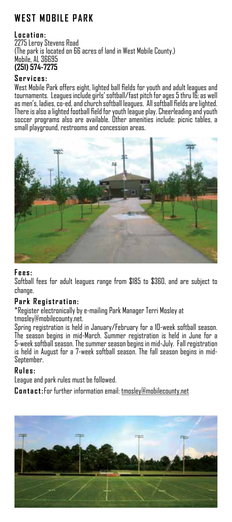## **W EST MOBILE PARK**

#### **L ocation:**

2275 Leroy Stevens Road (The park is located on 66 acres of land in West Mobile County.) Mobile, AL 36695 **(251) 574-7275**

#### **Services:**

West Mobile Park offers eight, lighted ball fields for youth and adult leagues and tournaments. Leagues include girls' softball/fast pitch for ages 5 thru 16; as well as men's, ladies, co-ed, and church softball leagues. All softball fields are lighted. There is also a lighted football field for youth league play. Cheerleading and youth soccer programs also are available. Other amenities include: picnic tables, a small playground, restrooms and concession areas.



#### **Fees:**

Softball fees for adult leagues range from \$185 to \$360, and are subject to change.

#### **Park Registration:**

\*Register electronically by e-mailing Park Manager Terri Mosley at tmosley@mobilecounty.net.

Spring registration is held in January/February for a 10-week softball season. The season begins in mid-March. Summer registration is held in June for a 5-week softball season. The summer season begins in mid-July. Fall registration is held in August for a 7-week softball season. The fall season begins in mid-September.

#### **Rules:**

League and park rules must be followed.

**Contact:**For further information email: tmosley@mobilecounty.net

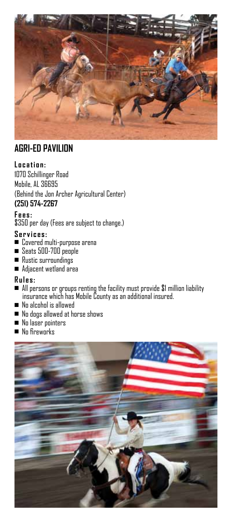

### **Agri-Ed Pavilion**

#### **L ocation:**

1070 Schillinger Road Mobile, AL 36695 (Behind the Jon Archer Agricultural Center) **(251) 574-2267**

#### **Fees:**

\$350 per day (Fees are subject to change.)

#### **Services:**

- <sup>n</sup> Covered multi-purpose arena
- Seats 500-700 people
- Rustic surroundings
- Adjacent wetland area

#### **Rules:**

- $\blacksquare$  All persons or groups renting the facility must provide \$1 million liability insurance which has Mobile County as an additional insured.
- No alcohol is allowed
- $\blacksquare$  No dogs allowed at horse shows
- No laser pointers
- $\blacksquare$  No fireworks

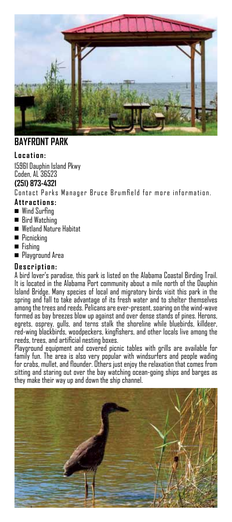

### **BAYFRONT PARK**

#### **L ocation:**

15961 Dauphin Island Pkwy Coden, AL 36523

#### **(251) 873-4321**

Contact Parks Manager Bruce Brumfield for more information.

#### **Attractions:**

- $\blacksquare$  Wind Surfing
- Bird Watching
- Wetland Nature Habitat
- Picnicking
- <sup>n</sup> Fishing
- **Playground Area**

#### **Description:**

A bird lover's paradise, this park is listed on the Alabama Coastal Birding Trail. It is located in the Alabama Port community about a mile north of the Dauphin Island Bridge. Many species of local and migratory birds visit this park in the spring and fall to take advantage of its fresh water and to shelter themselves among the trees and reeds. Pelicans are ever-present, soaring on the wind-wave formed as bay breezes blow up against and over dense stands of pines. Herons, egrets, osprey, gulls, and terns stalk the shoreline while bluebirds, killdeer, red-wing blackbirds, woodpeckers, kingfishers, and other locals live among the reeds, trees, and artificial nesting boxes.

Playground equipment and covered picnic tables with grills are available for family fun. The area is also very popular with windsurfers and people wading for crabs, mullet, and flounder. Others just enjoy the relaxation that comes from sitting and staring out over the bay watching ocean-going ships and barges as they make their way up and down the ship channel.

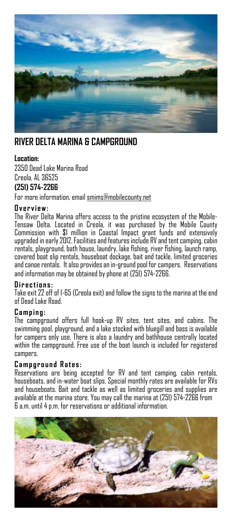

### **River delta marina & campground**

#### **Location:**

2350 Dead Lake Marina Road Creola, AL 36525 **(251) 574-2266** 

For more information, email smims@mobilecounty.net

#### **Overview:**

The River Delta Marina offers access to the pristine ecosystem of the Mobile-Tensaw Delta. Located in Creola, it was purchased by the Mobile County Commission with \$1 million in Coastal Impact grant funds and extensively upgraded in early 2012. Facilities and features include RV and tent camping, cabin rentals, playground, bath house, laundry, lake fishing, river fishing, launch ramp, covered boat slip rentals, houseboat dockage, bait and tackle, limited groceries and canoe rentals. It also provides an in-ground pool for campers. Reservations and information may be obtained by phone at (251) 574-2266.

#### **Directions:**

Take exit 22 off of I-65 (Creola exit) and follow the signs to the marina at the end of Dead Lake Road.

#### **Camping:**

The campground offers full hook-up RV sites, tent sites, and cabins. The swimming pool, playground, and a lake stocked with bluegill and bass is available for campers only use. There is also a laundry and bathhouse centrally located within the campground. Free use of the boat launch is included for registered campers.

#### **Campground Rates:**

Reservations are being accepted for RV and tent camping, cabin rentals, houseboats, and in-water boat slips. Special monthly rates are available for RVs and houseboats. Bait and tackle as well as limited groceries and supplies are available at the marina store. You may call the marina at (251) 574-2266 from 6 a.m. until 4 p.m. for reservations or additional information.

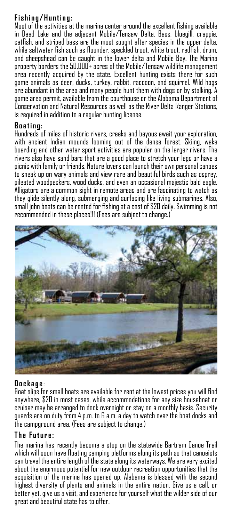#### **Fishing/Hunting:**

Most of the activities at the marina center around the excellent fishing available in Dead Lake and the adjacent Mobile/Tensaw Delta. Bass, bluegill, crappie, catfish, and striped bass are the most sought after species in the upper delta, while saltwater fish such as flounder, speckled trout, white trout, redfish, drum, and sheepshead can be caught in the lower delta and Mobile Bay. The Marina property borders the 50,000+ acres of the Mobile/Tensaw wildlife management area recently acquired by the state. Excellent hunting exists there for such game animals as deer, ducks, turkey, rabbit, raccoon, and squirrel. Wild hogs are abundant in the area and many people hunt them with dogs or by stalking. A game area permit, available from the courthouse or the Alabama Department of Conservation and Natural Resources as well as the River Delta Ranger Stations, is required in addition to a regular hunting license.

#### **Boating:**

Hundreds of miles of historic rivers, creeks and bayous await your exploration, with ancient Indian mounds looming out of the dense forest. Skiing, wake boarding and other water sport activities are popular on the larger rivers. The rivers also have sand bars that are a good place to stretch your legs or have a picnic with family or friends. Nature lovers can launch their own personal canoes to sneak up on wary animals and view rare and beautiful birds such as osprey, pileated woodpeckers, wood ducks, and even an occasional majestic bald eagle. Alligators are a common sight in remote areas and are fascinating to watch as they glide silently along, submerging and surfacing like living submarines. Also, small john boats can be rented for fishing at a cost of \$20 daily. Swimming is not recommended in these places!!! (Fees are subject to change.)



#### **Dockage** :

Boat slips for small boats are available for rent at the lowest prices you will find anywhere, \$20 in most cases, while accommodations for any size houseboat or cruiser may be arranged to dock overnight or stay on a monthly basis. Security guards are on duty from 4 p.m. to 6 a.m. a day to watch over the boat docks and the campground area. (Fees are subject to change.)

#### **T he Future:**

The marina has recently become a stop on the statewide Bartram Canoe Trail which will soon have floating camping platforms along its path so that canoeists can travel the entire length of the state along its waterways. We are very excited about the enormous potential for new outdoor recreation opportunities that the acquisition of the marina has opened up. Alabama is blessed with the second highest diversity of plants and animals in the entire nation. Give us a call, or better yet, give us a visit, and experience for yourself what the wilder side of our great and beautiful state has to offer.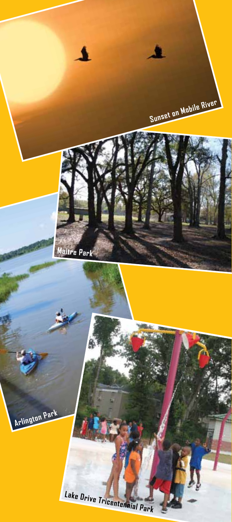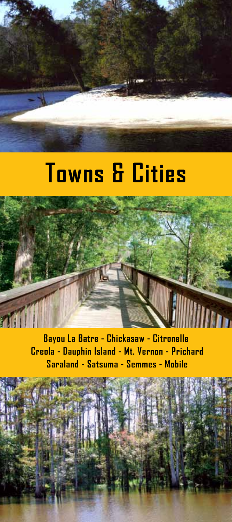# **Towns & Cities**



**Bayou La Batre - Chickasaw - Citronelle Creola - Dauphin Island - Mt. Vernon - Prichard Saraland - Satsuma - Semmes - Mobile**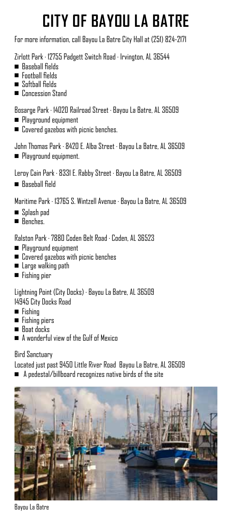# **City of Bayou La Batre**

For more information, call Bayou La Batre City Hall at (251) 824-2171

Zirlott Park · 12755 Padgett Switch Road · Irvington, AL 36544

- $\blacksquare$  Baseball fields
- **n** Football fields
- Softball fields
- **n** Concession Stand

Bosarge Park · 14020 Railroad Street · Bayou La Batre, AL 36509

- **Playground equipment**
- $\blacksquare$  Covered gazebos with picnic benches.

John Thomas Park · 8420 E. Alba Street · Bayou La Batre, AL 36509 **Playground equipment.** 

Leroy Cain Park · 8331 E. Rabby Street · Bayou La Batre, AL 36509

Baseball field

Maritime Park · 13765 S. Wintzell Avenue · Bayou La Batre, AL 36509

- <sup>n</sup>Splash pad
- Benches.

Ralston Park · 7880 Coden Belt Road · Coden, AL 36523

- Playground equipment
- $\blacksquare$  Covered gazebos with picnic benches
- Large walking path
- Fishing pier

Lightning Point (City Docks) · Bayou La Batre, AL 36509 14945 City Docks Road

- $\blacksquare$  Fishing
- Fishing piers
- $\blacksquare$  Boat docks
- A wonderful view of the Gulf of Mexico

Bird Sanctuary

Located just past 9450 Little River Road Bayou La Batre, AL 36509

 $\blacksquare$  A pedestal/billboard recognizes native birds of the site



Bayou La Batre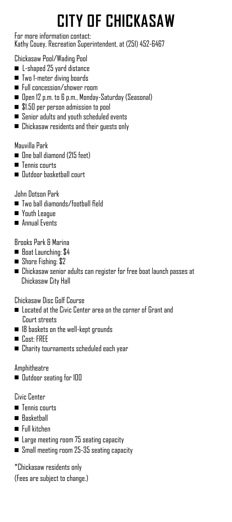# **City of Chickasaw**

For more information contact: Kathy Couey, Recreation Superintendent, at (251) 452-6467

#### Chickasaw Pool/Wading Pool

- $\blacksquare$  L-shaped 25 yard distance
- Two 1-meter diving boards
- <sup>n</sup>Full concession/shower room
- Open 12 p.m. to 6 p.m., Monday-Saturday (Seasonal)
- $\blacksquare$  \$1.50 per person admission to pool
- Senior adults and youth scheduled events
- $\blacksquare$  Chickasaw residents and their guests only

#### Mauvilla Park

- **n** One ball diamond (215 feet)
- $\blacksquare$  Tennis courts
- **n** Outdoor basketball court

### John Dotson Park

- <sup>n</sup>Two ball diamonds/football field
- **Nouth League**
- **n** Annual Events

### Brooks Park & Marina

- Boat Launching: \$4
- $\blacksquare$  Shore Fishing: \$2
- $\blacksquare$  Chickasaw senior adults can register for free boat launch passes at Chickasaw City Hall

Chickasaw Disc Golf Course

- $\blacksquare$  Located at the Civic Center area on the corner of Grant and Court streets
- $\blacksquare$  18 baskets on the well-kept grounds
- $\blacksquare$  Cost: FREE
- $\blacksquare$  Charity tournaments scheduled each year

### Amphitheatre

**n** Dutdoor seating for 100

### Civic Center

- Tennis courts
- Baskethall
- Full kitchen
- $\blacksquare$  Large meeting room 75 seating capacity
- n Small meeting room 25-35 seating capacity

\*Chickasaw residents only

(Fees are subject to change.)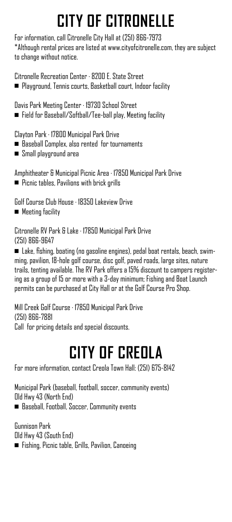# **CITY OF CITRONELLE**

For information, call Citronelle City Hall at (251) 866-7973 \*Although rental prices are listed at www.cityofcitronelle.com, they are subject to change without notice.

Citronelle Recreation Center · 8200 E. State Street <sup>n</sup>Playground, Tennis courts, Basketball court, Indoor facility

Davis Park Meeting Center · 19730 School Street  $\blacksquare$  Field for Baseball/Softball/Tee-ball play, Meeting facility

Clayton Park · 17800 Municipal Park Drive

- Baseball Complex, also rented for tournaments
- <sup>n</sup>Small playground area

Amphitheater & Municipal Picnic Area · 17850 Municipal Park Drive  $\blacksquare$  Picnic tables, Pavilions with brick grills

Golf Course Club House · 18350 Lakeview Drive

**n** Meeting facility

Citronelle RV Park & Lake · 17850 Municipal Park Drive (251) 866-9647

n Lake, fishing, boating (no gasoline engines), pedal boat rentals, beach, swimming, pavilion, 18-hole golf course, disc golf, paved roads, large sites, nature trails, tenting available. The RV Park offers a 15% discount to campers registering as a group of 15 or more with a 3-day minimum; Fishing and Boat Launch permits can be purchased at City Hall or at the Golf Course Pro Shop.

Mill Creek Golf Course · 17850 Municipal Park Drive (251) 866-7881 Call for pricing details and special discounts.

# **City of Creola**

For more information, contact Creola Town Hall: (251) 675-8142

Municipal Park (baseball, football, soccer, community events) Old Hwy 43 (North End)

■ Baseball, Football, Soccer, Community events

Gunnison Park Old Hwy 43 (South End) n Fishing, Picnic table, Grills, Pavilion, Canoeing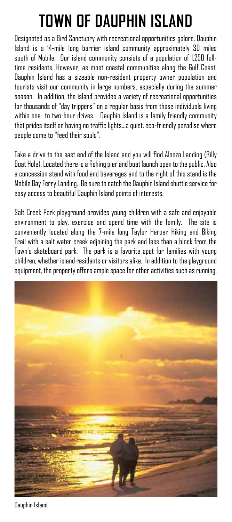# **Town of Dauphin Island**

Designated as a Bird Sanctuary with recreational opportunities galore, Dauphin Island is a 14-mile long barrier island community approximately 30 miles south of Mobile. Our island community consists of a population of 1,250 fulltime residents. However, as most coastal communities along the Gulf Coast, Dauphin Island has a sizeable non-resident property owner population and tourists visit our community in large numbers, especially during the summer season. In addition, the island provides a variety of recreational opportunities for thousands of "day trippers" on a regular basis from those individuals living within one- to two-hour drives. Dauphin Island is a family friendly community that prides itself on having no traffic lights…a quiet, eco-friendly paradise where people come to "feed their souls".

Take a drive to the east end of the Island and you will find Alonzo Landing (Billy Goat Hole). Located there is a fishing pier and boat launch open to the public. Also a concession stand with food and beverages and to the right of this stand is the Mobile Bay Ferry Landing. Be sure to catch the Dauphin Island shuttle service for easy access to beautiful Dauphin Island points of interests.

Salt Creek Park playground provides young children with a safe and enjoyable environment to play, exercise and spend time with the family. The site is conveniently located along the 7-mile long Taylor Harper Hiking and Biking Trail with a salt water creek adjoining the park and less than a block from the Town's skateboard park. The park is a favorite spot for families with young children, whether island residents or visitors alike. In addition to the playground equipment, the property offers ample space for other activities such as running,



Dauphin Island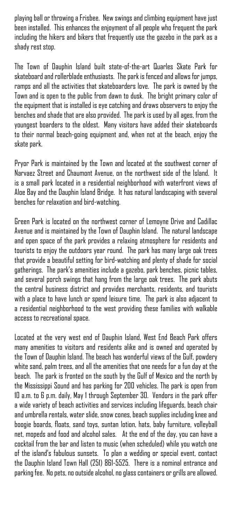playing ball or throwing a Frisbee. New swings and climbing equipment have just been installed. This enhances the enjoyment of all people who frequent the park including the hikers and bikers that frequently use the gazebo in the park as a shady rest stop.

The Town of Dauphin Island built state-of-the-art Quarles Skate Park for skateboard and rollerblade enthusiasts. The park is fenced and allows for jumps, ramps and all the activities that skateboarders love. The park is owned by the Town and is open to the public from dawn to dusk. The bright primary color of the equipment that is installed is eye catching and draws observers to enjoy the benches and shade that are also provided. The park is used by all ages, from the youngest boarders to the oldest. Many visitors have added their skateboards to their normal beach-going equipment and, when not at the beach, enjoy the skate park.

Pryor Park is maintained by the Town and located at the southwest corner of Narvaez Street and Chaumont Avenue, on the northwest side of the Island. It is a small park located in a residential neighborhood with waterfront views of Aloe Bay and the Dauphin Island Bridge. It has natural landscaping with several benches for relaxation and bird-watching.

Green Park is located on the northwest corner of Lemoyne Drive and Cadillac Avenue and is maintained by the Town of Dauphin Island. The natural landscape and open space of the park provides a relaxing atmosphere for residents and tourists to enjoy the outdoors year round. The park has many large oak trees that provide a beautiful setting for bird-watching and plenty of shade for social gatherings. The park's amenities include a gazebo, park benches, picnic tables, and several porch swings that hang from the large oak trees. The park abuts the central business district and provides merchants, residents, and tourists with a place to have lunch or spend leisure time. The park is also adjacent to a residential neighborhood to the west providing these families with walkable access to recreational space.

Located at the very west end of Dauphin Island, West End Beach Park offers many amenities to visitors and residents alike and is owned and operated by the Town of Dauphin Island. The beach has wonderful views of the Gulf, powdery white sand, palm trees, and all the amenities that one needs for a fun day at the beach. The park is fronted on the south by the Gulf of Mexico and the north by the Mississippi Sound and has parking for 200 vehicles. The park is open from 10 a.m. to 6 p.m. daily, May 1 through September 30. Vendors in the park offer a wide variety of beach activities and services including lifeguards, beach chair and umbrella rentals, water slide, snow cones, beach supplies including knee and boogie boards, floats, sand toys, suntan lotion, hats, baby furniture, volleyball net, mopeds and food and alcohol sales. At the end of the day, you can have a cocktail from the bar and listen to music (when scheduled) while you watch one of the island's fabulous sunsets. To plan a wedding or special event, contact the Dauphin Island Town Hall (251) 861-5525. There is a nominal entrance and parking fee. No pets, no outside alcohol, no glass containers or grills are allowed.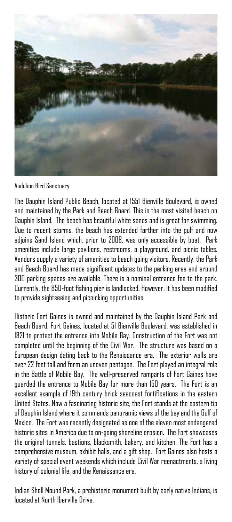

Audubon Bird Sanctuary

The Dauphin Island Public Beach, located at 1551 Bienville Boulevard, is owned and maintained by the Park and Beach Board. This is the most visited beach on Dauphin Island. The beach has beautiful white sands and is great for swimming. Due to recent storms, the beach has extended farther into the gulf and now adjoins Sand Island which, prior to 2008, was only accessible by boat. Park amenities include large pavilions, restrooms, a playground, and picnic tables. Vendors supply a variety of amenities to beach going visitors. Recently, the Park and Beach Board has made significant updates to the parking area and around 300 parking spaces are available. There is a nominal entrance fee to the park. Currently, the 850-foot fishing pier is landlocked. However, it has been modified to provide sightseeing and picnicking opportunities.

Historic Fort Gaines is owned and maintained by the Dauphin Island Park and Beach Board. Fort Gaines, located at 51 Bienville Boulevard, was established in 1821 to protect the entrance into Mobile Bay. Construction of the Fort was not completed until the beginning of the Civil War. The structure was based on a European design dating back to the Renaissance era. The exterior walls are over 22 feet tall and form an uneven pentagon. The Fort played an integral role in the Battle of Mobile Bay. The well-preserved ramparts of Fort Gaines have guarded the entrance to Mobile Bay for more than 150 years. The Fort is an excellent example of 19th century brick seacoast fortifications in the eastern United States. Now a fascinating historic site, the Fort stands at the eastern tip of Dauphin Island where it commands panoramic views of the bay and the Gulf of Mexico. The Fort was recently designated as one of the eleven most endangered historic sites in America due to on-going shoreline erosion. The Fort showcases the original tunnels, bastions, blacksmith, bakery, and kitchen. The Fort has a comprehensive museum, exhibit halls, and a gift shop. Fort Gaines also hosts a variety of special event weekends which include Civil War reenactments, a living history of colonial life, and the Renaissance era.

Indian Shell Mound Park, a prehistoric monument built by early native Indians, is located at North Iberville Drive.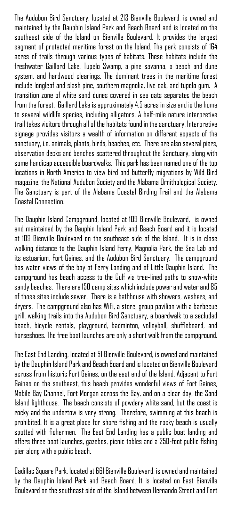The Audubon Bird Sanctuary, located at 213 Bienville Boulevard, is owned and maintained by the Dauphin Island Park and Beach Board and is located on the southeast side of the Island on Bienville Boulevard. It provides the largest segment of protected maritime forest on the Island. The park consists of 164 acres of trails through various types of habitats. These habitats include the freshwater Gaillard Lake, Tupelo Swamp, a pine savanna, a beach and dune system, and hardwood clearings. The dominant trees in the maritime forest include longleaf and slash pine, southern magnolia, live oak, and tupelo gum. A transition zone of white sand dunes covered in sea oats separates the beach from the forest. Gaillard Lake is approximately 4.5 acres in size and is the home to several wildlife species, including alligators. A half-mile nature interpretive trail takes visitors through all of the habitats found in the sanctuary. Interpretive signage provides visitors a wealth of information on different aspects of the sanctuary, i.e. animals, plants, birds, beaches, etc. There are also several piers, observation decks and benches scattered throughout the Sanctuary, along with some handicap accessible boardwalks. This park has been named one of the top locations in North America to view bird and butterfly migrations by Wild Bird magazine, the National Audubon Society and the Alabama Ornithological Society. The Sanctuary is part of the Alabama Coastal Birding Trail and the Alabama Coastal Connection.

The Dauphin Island Campground, located at 109 Bienville Boulevard, is owned and maintained by the Dauphin Island Park and Beach Board and it is located at 109 Bienville Boulevard on the southeast side of the Island. It is in close walking distance to the Dauphin Island Ferry, Magnolia Park, the Sea Lab and its estuarium, Fort Gaines, and the Audubon Bird Sanctuary. The campground has water views of the bay at Ferry Landing and of Little Dauphin Island. The campground has beach access to the Gulf via tree-lined paths to snow-white sandy beaches. There are 150 camp sites which include power and water and 85 of those sites include sewer. There is a bathhouse with showers, washers, and dryers. The campground also has WiFi, a store, group pavilion with a barbecue grill, walking trails into the Audubon Bird Sanctuary, a boardwalk to a secluded beach, bicycle rentals, playground, badminton, volleyball, shuffleboard, and horseshoes. The free boat launches are only a short walk from the campground.

The East End Landing, located at 51 Bienville Boulevard, is owned and maintained by the Dauphin Island Park and Beach Board and is located on Bienville Boulevard across from historic Fort Gaines, on the east end of the Island. Adjacent to Fort Gaines on the southeast, this beach provides wonderful views of Fort Gaines, Mobile Bay Channel, Fort Morgan across the Bay, and on a clear day, the Sand Island lighthouse. The beach consists of powdery white sand, but the coast is rocky and the undertow is very strong. Therefore, swimming at this beach is prohibited. It is a great place for shore fishing and the rocky beach is usually spotted with fishermen. The East End Landing has a public boat landing and offers three boat launches, gazebos, picnic tables and a 250-foot public fishing pier along with a public beach.

Cadillac Square Park, located at 661 Bienville Boulevard, is owned and maintained by the Dauphin Island Park and Beach Board. It is located on East Bienville Boulevard on the southeast side of the Island between Hernando Street and Fort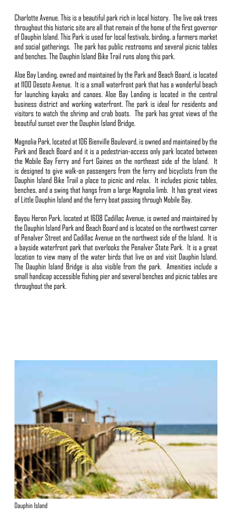Charlotte Avenue. This is a beautiful park rich in local history. The live oak trees throughout this historic site are all that remain of the home of the first governor of Dauphin Island. This Park is used for local festivals, birding, a farmers market and social gatherings. The park has public restrooms and several picnic tables and benches. The Dauphin Island Bike Trail runs along this park.

Aloe Bay Landing, owned and maintained by the Park and Beach Board, is located at 1100 Desoto Avenue. It is a small waterfront park that has a wonderful beach for launching kayaks and canoes. Aloe Bay Landing is located in the central business district and working waterfront. The park is ideal for residents and visitors to watch the shrimp and crab boats. The park has great views of the beautiful sunset over the Dauphin Island Bridge.

Magnolia Park, located at 106 Bienville Boulevard, is owned and maintained by the Park and Beach Board and it is a pedestrian-access only park located between the Mobile Bay Ferry and Fort Gaines on the northeast side of the Island. It is designed to give walk-on passengers from the ferry and bicyclists from the Dauphin Island Bike Trail a place to picnic and relax. It includes picnic tables, benches, and a swing that hangs from a large Magnolia limb. It has great views of Little Dauphin Island and the ferry boat passing through Mobile Bay.

Bayou Heron Park, located at 1608 Cadillac Avenue, is owned and maintained by the Dauphin Island Park and Beach Board and is located on the northwest corner of Penalver Street and Cadillac Avenue on the northwest side of the Island. It is a bayside waterfront park that overlooks the Penalver State Park. It is a great location to view many of the water birds that live on and visit Dauphin Island. The Dauphin Island Bridge is also visible from the park. Amenities include a small handicap accessible fishing pier and several benches and picnic tables are throughout the park.



Dauphin Island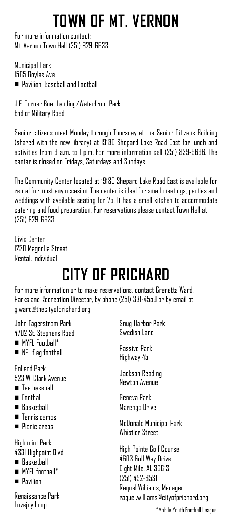# **Town of Mt. Vernon**

For more information contact: Mt. Vernon Town Hall (251) 829-6633

Municipal Park 1565 Boyles Ave ■ Pavilion, Baseball and Football

J.E. Turner Boat Landing/Waterfront Park End of Military Road

Senior citizens meet Monday through Thursday at the Senior Citizens Building (shared with the new library) at 19180 Shepard Lake Road East for lunch and activities from 9 a.m. to 1 p.m. For more information call (251) 829-9696. The center is closed on Fridays, Saturdays and Sundays.

The Community Center located at 19180 Shepard Lake Road East is available for rental for most any occasion. The center is ideal for small meetings, parties and weddings with available seating for 75. It has a small kitchen to accommodate catering and food preparation. For reservations please contact Town Hall at (251) 829-6633.

Civic Center 1230 Magnolia Street Rental, individual

# **CITY OF PRICHARD**

For more information or to make reservations, contact Grenetta Ward, Parks and Recreation Director, by phone (251) 331-4559 or by email at g.ward@thecityofprichard.org.

John Fagerstrom Park 4702 St. Stephens Road

- $\blacksquare$  MYFL Football\*
- **NFL flag football**

Pollard Park 523 W. Clark Avenue

- **n** Tee baseball
- Football
- Raskethall
- **n** Tennis camps
- <sup>n</sup> Picnic areas

Highpoint Park 4331 Highpoint Blvd

- <sup>n</sup> Basketball
- $MYFI$  foothall\*
- **n** Pavilion

Renaissance Park Lovejoy Loop

Snug Harbor Park Swedish Lane

Passive Park Highway 45

Jackson Reading Newton Avenue

Geneva Park Marengo Drive

McDonald Municipal Park Whistler Street

High Pointe Golf Course 4603 Golf Way Drive Eight Mile, AL 36613 (251) 452-6531 Raquel Williams, Manager raquel.williams@cityofprichard.org

\*Mobile Youth Football League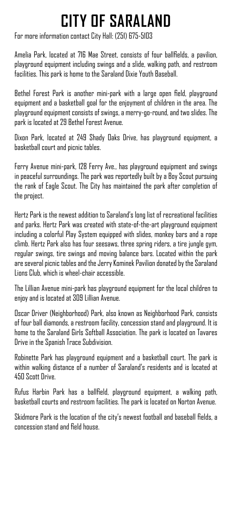# **CITY OF SARALAND**

For more information contact City Hall: (251) 675-5103

Amelia Park, located at 716 Mae Street, consists of four ballfields, a pavilion, playground equipment including swings and a slide, walking path, and restroom facilities. This park is home to the Saraland Dixie Youth Baseball.

Bethel Forest Park is another mini-park with a large open field, playground equipment and a basketball goal for the enjoyment of children in the area. The playground equipment consists of swings, a merry-go-round, and two slides. The park is located at 29 Bethel Forest Avenue.

Dixon Park, located at 249 Shady Oaks Drive, has playground equipment, a basketball court and picnic tables.

Ferry Avenue mini-park, 128 Ferry Ave., has playground equipment and swings in peaceful surroundings. The park was reportedly built by a Boy Scout pursuing the rank of Eagle Scout. The City has maintained the park after completion of the project.

Hertz Park is the newest addition to Saraland's long list of recreational facilities and parks. Hertz Park was created with state-of-the-art playground equipment including a colorful Play System equipped with slides, monkey bars and a rope climb. Hertz Park also has four seesaws, three spring riders, a tire jungle gym, regular swings, tire swings and moving balance bars. Located within the park are several picnic tables and the Jerry Kominek Pavilion donated by the Saraland Lions Club, which is wheel-chair accessible.

The Lillian Avenue mini-park has playground equipment for the local children to enjoy and is located at 309 Lillian Avenue.

Oscar Driver (Neighborhood) Park, also known as Neighborhood Park, consists of four ball diamonds, a restroom facility, concession stand and playground. It is home to the Saraland Girls Softball Association. The park is located on Tavares Drive in the Spanish Trace Subdivision.

Robinette Park has playground equipment and a basketball court. The park is within walking distance of a number of Saraland's residents and is located at 450 Scott Drive.

Rufus Harbin Park has a ballfield, playground equipment, a walking path, basketball courts and restroom facilities. The park is located on Norton Avenue.

Skidmore Park is the location of the city's newest football and baseball fields, a concession stand and field house.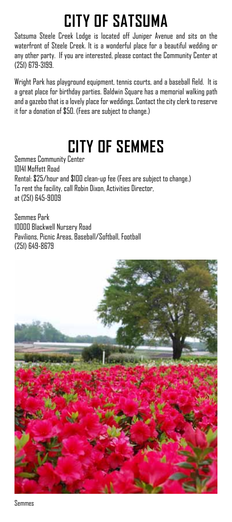# **CITY OF SATSUMA**

Satsuma Steele Creek Lodge is located off Juniper Avenue and sits on the waterfront of Steele Creek. It is a wonderful place for a beautiful wedding or any other party. If you are interested, please contact the Community Center at (251) 679-3199.

Wright Park has playground equipment, tennis courts, and a baseball field. It is a great place for birthday parties. Baldwin Square has a memorial walking path and a gazebo that is a lovely place for weddings. Contact the city clerk to reserve it for a donation of \$50. (Fees are subject to change.)

## **City of Semmes**

Semmes Community Center 10141 Moffett Road Rental: \$25/hour and \$100 clean-up fee (Fees are subject to change.) To rent the facility, call Robin Dixon, Activities Director, at (251) 645-9009

Semmes Park 10000 Blackwell Nursery Road Pavilions, Picnic Areas, Baseball/Softball, Football (251) 649-8679



Semmes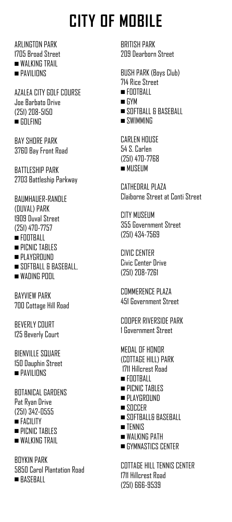**ARI INGTON PARK** 1705 Broad Street WAI KING TRAIL **n** PAVILIONS

AZALEA CITY GOLF COURSE Joe Barbato Drive (251) 208-5150  $\blacksquare$  GOLFING

**BAY SHORE PARK** 3760 Bay Front Road

Battleship Park 2703 Battleship Parkway

BAUMHAUER-RANDLE (DUVAL) PARK 1909 Duval Street (251) 470-7757  $\blacksquare$  FOOTBALL **PICNIC TABLES** 

**n** PLAYGROUND

- SOFTBALL & BASEBALL
- $\blacksquare$  WADING POOL

Bayview Park 700 Cottage Hill Road

Beverly Court 125 Beverly Court

**BIENVILLE SQUARE** 150 Dauphin Street **n** PAVILIONS

BOTANICAL GARDENS Pat Ryan Drive (251) 342-0555 <sup>n</sup>FACILITY **n** PICNIC TABLES WALKING TRAIL

Boykin Park 5850 Carol Plantation Road BASERALL

BRITISH PARK 209 Dearborn Street

BUSH PARK (Boys Club) 714 Rice Street  $\blacksquare$  FOOTBALL  $\blacksquare$  GYM  $\blacksquare$  SOFTBALL & BASEBALL  $\blacksquare$  SWIMMING

CARLEN HOUSE 54 S. Carlen (251) 470-7768  $MUSEUM$ 

CATHEDRAL PLAZA Claiborne Street at Conti Street

CITY MUSEUM 355 Government Street (251) 434-7569

CIVIC CENTER Civic Center Drive (251) 208-7261

COMMERENCE PLAZA 451 Government Street

Cooper Riverside Park 1 Government Street

MEDAL OF HONOR (COTTAGE HILL) PARK 1711 Hillcrest Road  $\blacksquare$  Football **n** PICNIC TABLES **n** PLAYGROUND  $\blacksquare$ SOCCER SOFTBALL& BASEBALL <sup>n</sup>TENNIS **NALKING PATH GYMNASTICS CENTER** 

COTTAGE HILL TENNIS CENTER 1711 Hillcrest Road (251) 666-9539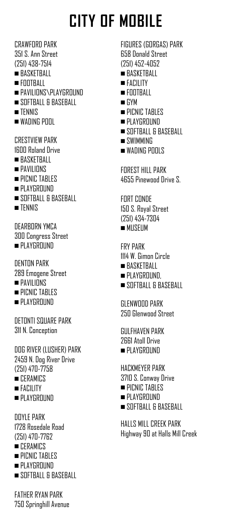CRAWFORD PARK 351 S. Ann Street (251) 438-7514 <sup>n</sup> BASKETBALL  $\blacksquare$  FOOTBALL **n** PAVILIONS\PLAYGROUND SOFTBALL & BASEBALL  $\blacksquare$  TENNIS  $\blacksquare$  WADING POOL CRESTVIEW PARK 1600 Roland Drive  $\blacksquare$ RASKETRALL  $\blacksquare$  PAVILIONS  $\blacksquare$  PICNIC TABLES **PLAYGROUND** SOFTBALL & BASEBALL  $\blacksquare$  TENNIS

DEARBORN YMCA 300 Congress Street  $\blacksquare$  PLAYGROUND

DENTON PARK 289 Emogene Street **n** PAVILIONS

- $\blacksquare$  PICNIC TABLES
- **PLAYGROUND**

Detonti Square Park 311 N. Conception

DOG RIVER (LUSHER) PARK 2459 N. Dog River Drive (251) 470-7758 **no** CERAMICS <sup>n</sup>FACILITY

**n** PLAYGROUND

DOYLE PARK 1728 Rosedale Road (251) 470-7762 **no** CERAMICS **n** PICNIC TABLES **n** PLAYGROUND

 $\blacksquare$  SOFTBALL & BASEBALL

FATHER RYAN PARK 750 Springhill Avenue FIGURES (GORGAS) PARK 658 Donald Street (251) 452-4052 **RASKETBALL** 

- <sup>n</sup>FACILITY
- $\blacksquare$  FOOTBALL
- <sup>n</sup>GYM
- **n** PICNIC TABLES
- **PLAYGROUND**
- SOFTBALL & BASEBALL
- $\blacksquare$  SWIMMING
- $\blacksquare$  WADING POOLS

Forest Hill Park 4655 Pinewood Drive S.

FORT CONDE 150 S. Royal Street (251) 434-7304  $MUSF$ IM

FRY PARK 1114 W. Gimon Circle  $BASKFTRAI$ 

- $\blacksquare$  PLAYGROUND.
- SOFTBALL & BASEBALL

Glenwood Park 250 Glenwood Street

**GULFHAVEN PARK** 2661 Atoll Drive **PLAYGROUND** 

HACKMEYER PARK 3710 S. Conway Drive **n** PICNIC TABLES **PLAYGROUND** SOFTBALL & BASEBALL

HALLS MILL CREEK PARK Highway 90 at Halls Mill Creek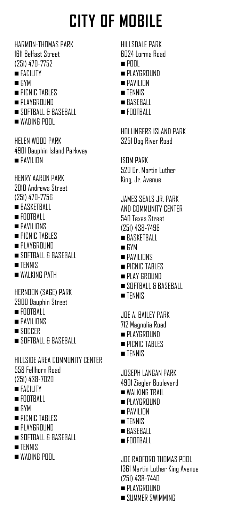HARMON-THOMAS PARK 1611 Belfast Street (251) 470-7752 <sup>n</sup>FACILITY

- <sup>n</sup>GYM
- **PICNIC TABLES**
- **PLAYGROUND**
- SOFTBALL & BASEBALL
- $\blacksquare$  WADING POOL

HFI FN WOOD PARK 4901 Dauphin Island Parkway **n** PAVILION

HENRY AARON PARK 2010 Andrews Street (251) 470-7756

- $\blacksquare$ BASKETBALL
- $\blacksquare$  Football
- $\blacksquare$  PAVILIONS
- **n** PICNIC TABLES
- **n** PLAYGROUND
- SOFTBALL & BASEBALL
- $\blacksquare$  TENNIS
- **wALKING PATH**

HERNDON (SAGE) PARK

- 2900 Dauphin Street
- $\blacksquare$  FOOTBALL
- **n** PAVILIONS
- $\blacksquare$ SOCCER
- $\blacksquare$  SOFTBALL & BASEBALL

HILLSIDE AREA COMMUNITY CENTER 558 Fellhorn Road (251) 438-7020

- $FATIIITY$
- $\blacksquare$  FOOTBALL
- $\blacksquare$  GYM
- $\blacksquare$  PICNIC TABLES
- **PLAYGROUND**
- $\blacksquare$  SOFTBALL & BASEBALL
- $\blacksquare$  TENNIS
- $\blacksquare$  WADING POOL

Hillsdale Park 6024 Lorma Road  $n$ Pool

- **PLAYGROUND**
- **n** PAVII INN
- $TENNIS$
- $BASFRA11$
- $n$  Football

Hollingers Island Park 3251 Dog River Road

**ISOM PARK** 520 Dr. Martin Luther King, Jr. Avenue

- JAMES SEALS JR. PARK AND COMMUNITY CENTER 540 Texas Street (251) 438-7498
- $BASKFTRAIL$
- <sup>n</sup>GYM
- **n** PAVILIONS
- **n** PICNIC TABLES
- **PLAY GROUND**
- SOFTBALL & BASEBALL
- **n**TFNNIS

JOE A. BAILEY PARK 712 Magnolia Road

- **PLAYGROUND**
- $\blacksquare$  PICNIC TABLES
- $\blacksquare$ TENNIS

Joseph Langan Park

- 4901 Ziegler Boulevard
- WAI KING TRAIL
- **PLAYGROUND**
- **n** PAVII INN
- $\blacksquare$  TFNNIS
- $BASFRA11$
- $\blacksquare$  FOOTBALL

JOE RADFORD THOMAS POOL 1361 Martin Luther King Avenue (251) 438-7440

- **PLAYGROUND**
- **No. SUMMER SWIMMING**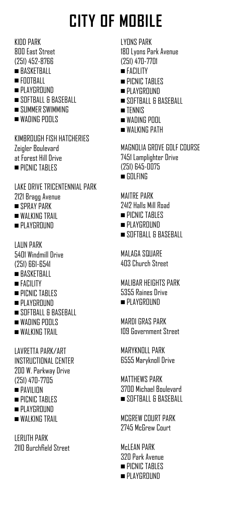KIDD PARK 800 East Street (251) 452-8766

- **RASKETBALL**
- $\blacksquare$  FOOTBALL
- **PLAYGROUND**
- SOFTBALL & BASEBALL
- SUMMER SWIMMING
- WADING POOLS

KIMBROUGH FISH HATCHERIES Zeigler Boulevard at Forest Hill Drive **PICNIC TABLES** 

Lake Drive Tricentennial Park 2121 Bragg Avenue

- SPRAY PARK
- WAI KING TRAIL
- **n** PLAYGROUND

LAUN PARK 5401 Windmill Drive (251) 661-6541

- **RASKETBALL**
- <sup>n</sup>FACILITY
- **PICNIC TABLES**
- **PLAYGROUND**
- SOFTBALL & BASEBALL
- $\blacksquare$  WADING POOLS
- WALKING TRAIL

LAVRETTA PARK/ART INSTRUCTIONAL CENTER 200 W. Parkway Drive (251) 470-7705 <sup>n</sup>PAVILION **n** PICNIC TABLES **PLAYGROUND** 

WALKING TRAIL

LeRuth Park 2110 Burchfield Street LYONS PARK 180 Lyons Park Avenue (251) 470-7701

- <sup>n</sup>FACILITY
- **PICNIC TABLES**
- $\blacksquare$  PLAYGROUND
- SOFTBALL & BASEBALL
- $\blacksquare$  TENNIS
- $\blacksquare$  WADING POOL
- **NALKING PATH**

MAGNOLIA GROVE GOLF COURSE 7451 Lamplighter Drive (251) 645-0075  $\blacksquare$  GOLFING

MAITRE PARK 2412 Halls Mill Road  $\blacksquare$  PICNIC TABLES

- **PLAYGROUND**
- $\blacksquare$  SOFTBALL & BASEBALL

MAI AGA SQUARE 403 Church Street

MALIBAR HEIGHTS PARK 5355 Raines Drive  $\blacksquare$  PLAYGROUND

Mardi Gras Park 109 Government Street

MARYKN<sub>OLL</sub> PARK 6555 Maryknoll Drive

MATTHEWS PARK 3700 Michael Boulevard  $\blacksquare$  SOFTBALL & BASEBALL

MCGREW COURT PARK 2745 McGrew Court

M<sub>c</sub>I FAN PARK 320 Park Avenue  $\blacksquare$  PICNIC TABLES **PLAYGROUND**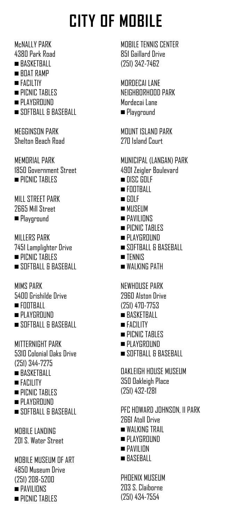McNALLY PARK 4380 Park Road

- **RASKETBALL**
- $\blacksquare$  ROAT RAMP
- <sup>n</sup>FACILTIY
- **PICNIC TABLES**
- **n** PLAYGROUND
- SOFTBALL & BASEBALL

MEGGINSON PARK Shelton Beach Road

MEMORIAL PARK 1850 Government Street **PICNIC TABLES** 

Mill Street Park 2665 Mill Street **n**Playground

MILLERS PARK 7451 Lamplighter Drive **n** PICNIC TABLES  $\blacksquare$ SOFTBALL & BASEBALL

MIMS PARK 5400 Grishilde Drive  $\blacksquare$  FOOTBALL **PLAYGROUND** 

SOFTBALL & BASEBALL

MITTERNIGHT PARK 5310 Colonial Oaks Drive (251) 344-7275

- $BASKFTRAII$
- <sup>n</sup>FACILITY
- **PICNIC TABLES**
- **PLAYGROUND**
- SOFTBALL & BASEBALL

MORILE LANDING 201 S. Water Street

MOBILE MUSEUM OF ART 4850 Museum Drive (251) 208-5200 **n** PAVILIONS **n** PICNIC TABLES

MOBILE TENNIS CENTER 851 Gaillard Drive (251) 342-7462

MORDECAI LANE NFIGHRORHOOD PARK Mordecai Lane **n** Playground

MOUNT ISLAND PARK 270 Island Court

MUNICIPAL (LANGAN) PARK 4901 Zeigler Boulevard  $n$ nisc gni F <sup>n</sup>FOOTBALL  $\blacksquare$  GOLF  $MUSEIIM$ **n** PAVILIONS **PICNIC TABLES** PLAYGROUND SOFTBALL & BASEBALL

- <sup>n</sup>TENNIS
- WALKING PATH

NEWHOUSE PARK 2960 Alston Drive (251) 470-7753  $BASKFTRAI1$ <sup>n</sup>FACILITY

- **PICNIC TABLES**
- PLAYGROUND
- SOFTBALL & BASEBALL

OAKLEIGH HOUSE MUSEUM 350 Oakleigh Place (251) 432-1281

PFC Howard Johnson, II Park 2661 Atoll Drive  $\blacksquare$  WALKING TRAIL  $PlAYGROUND$  $\blacksquare$  PAVILION  $\blacksquare$  BASEBALL

PHOENIX MUSEUM 203 S. Claiborne (251) 434-7554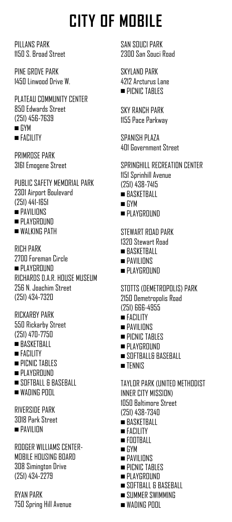Pillans Park 1150 S. Broad Street

Pine Grove Park 1450 Linwood Drive W.

PLATEAU COMMUNITY CENTER 850 Edwards Street (251) 456-7639  $\blacksquare$  GYM <sup>n</sup>FACILITY

Primrose Park 3161 Emogene Street

PUBLIC SAFETY MEMORIAL PARK 2301 Airport Boulevard (251) 441-1651 **n**PAVILIONS **n** PLAYGROUND

**walking Path** 

RICH PARK 2700 Foreman Circle **PLAYGROUND** RICHARDS D.A.R. HOUSE MUSEUM 256 N. Joachim Street (251) 434-7320

RICKARBY PARK 550 Rickarby Street (251) 470-7750 **RASKETBALL** 

- $FATII$ ITY
- **n** PICNIC TABLES
- **PLAYGROUND**
- SOFTBALL & BASEBALL
- $\blacksquare$  WADING POOL

Riverside Park 3018 Park Street  $\blacksquare$  pavilion

RODGER WILLIAMS CENTER-MOBILE HOUSING BOARD 308 Simington Drive (251) 434-2279

Ryan Park 750 Spring Hill Avenue SAN SOUCI PARK 2300 San Souci Road

SKYLAND PARK 4212 Arcturus Lane **n** PICNIC TABLES

Sky Ranch Park 1155 Pace Parkway

SPANISH PLAZA 401 Government Street

SPRINGHILL RECREATION CENTER 1151 Sprinhill Avenue (251) 438-7415  $BASKFTRAIL$ <sup>n</sup>GYM **PLAYGROUND** STEWART ROAD PARK 1320 Stewart Road

- $\blacksquare$ RASKETRALL
- $\blacksquare$  PAVILIONS
- $\blacksquare$  PLAYGROUND

STOTTS (DEMETROPOLIS) PARK 2150 Demetropolis Road (251) 666-4955 <sup>n</sup>FACILITY **n** PAVILIONS **n** PICNIC TABLES **PLAYGROUND** SOFTBALL& BASEBALL <sup>n</sup>TENNIS TAYLOR PARK (UNITED METHODIST INNER CITY MISSION) 1050 Baltimore Street (251) 438-7340  $BASKF$ **TBALL** n FACILITY  $\blacksquare$  Football  $\blacksquare$  GYM <sup>n</sup>PAVILIONS **n** PICNIC TABLES

- **n** PLAYGROUND
- $\blacksquare$  SOFTBALL & BASEBALL
- $\blacksquare$  SUMMER SWIMMING
- $\blacksquare$  WADING POOL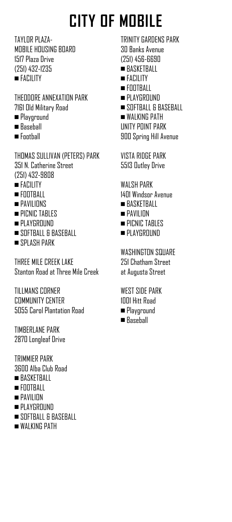TAYLOR PLAZA-MOBILE HOUSING BOARD 1517 Plaza Drive (251) 432-1235 <sup>n</sup>FACILITY

Theodore Annexation Park 7161 Old Military Road

- **n**Playground
- Baseball
- <sup>n</sup>Football

THOMAS SULLIVAN (PETERS) PARK 351 N. Catherine Street (251) 432-9808

- **n**FACILITY
- $\blacksquare$  Football
- **n** PAVILIONS
- **n** PICNIC TABLES
- **n** PLAYGROUND
- SOFTBALL & BASEBALL
- SPLASH PARK

THREE MILE CREEK LAKE Stanton Road at Three Mile Creek

Tillmans Corner Community Center 5055 Carol Plantation Road

Timberlane Park 2870 Longleaf Drive

TRIMMIER PARK 3600 Alba Club Road  $\blacksquare$  BASKETBALL

- $\blacksquare$  Football
- <sup>n</sup>PAVILION
- **n** PLAYGROUND
- n SOFTBALL & BASEBALL
- WAI KING PATH

TRINITY GARDENS PARK 30 Banks Avenue (251) 456-6690 **BASKETBALL** <sup>n</sup>FACILITY  $\blacksquare$  Football **n** PLAYGROUND  $\blacksquare$  SOFTBALL & BASEBALL **walking path** Unity Point Park 900 Spring Hill Avenue

Vista Ridge Park 5513 Outley Drive

WALSH PARK 1401 Windsor Avenue  $BASKF$ **TBALL** 

- <sup>n</sup>PAVILION
- **n** PICNIC TABLES
- **n** PLAYGROUND

WASHINGTON SQUARE 251 Chatham Street at Augusta Street

West Side Park 1001 Hitt Road **n**Playground

■ Baseball